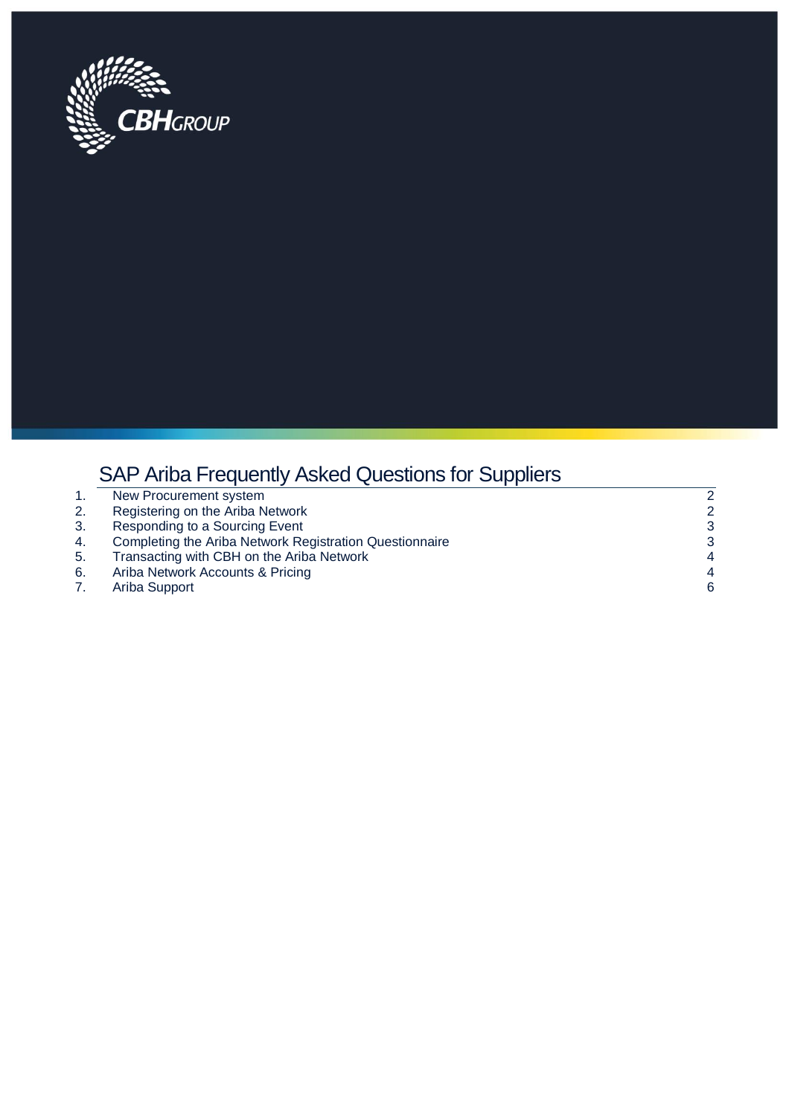

# SAP Ariba Frequently Asked Questions for Suppliers

|    | New Procurement system                                  | $\overline{2}$ |
|----|---------------------------------------------------------|----------------|
| 2. | Registering on the Ariba Network                        | 2              |
| 3. | Responding to a Sourcing Event                          | 3              |
| 4. | Completing the Ariba Network Registration Questionnaire | 3              |
| 5. | Transacting with CBH on the Ariba Network               | 4              |
| 6. | Ariba Network Accounts & Pricing                        | 4              |
|    | Ariba Support                                           | 6              |
|    |                                                         |                |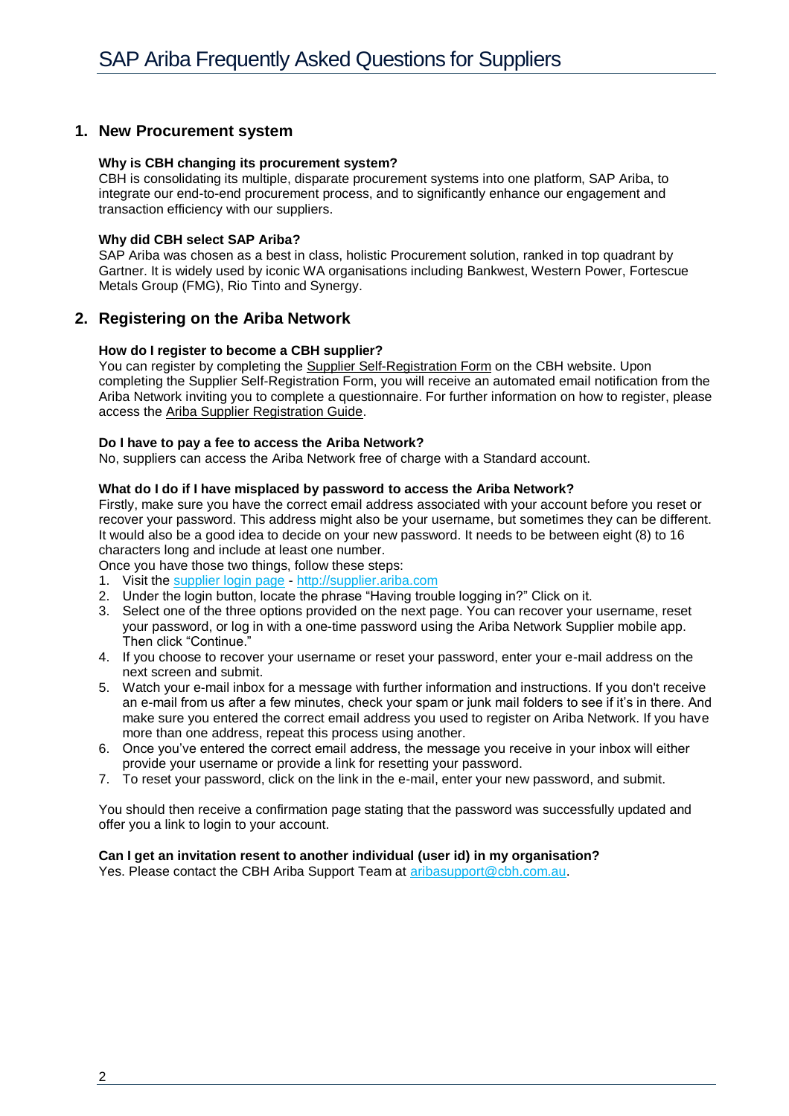# <span id="page-1-0"></span>**1. New Procurement system**

### **Why is CBH changing its procurement system?**

CBH is consolidating its multiple, disparate procurement systems into one platform, SAP Ariba, to integrate our end-to-end procurement process, and to significantly enhance our engagement and transaction efficiency with our suppliers.

### **Why did CBH select SAP Ariba?**

SAP Ariba was chosen as a best in class, holistic Procurement solution, ranked in top quadrant by Gartner. It is widely used by iconic WA organisations including Bankwest, Western Power, Fortescue Metals Group (FMG), Rio Tinto and Synergy.

# <span id="page-1-1"></span>**2. Registering on the Ariba Network**

### **How do I register to become a CBH supplier?**

You can register by completing the [Supplier Self-Registration Form](https://s1-eu.ariba.com/Sourcing/Main/aw?awh=r&awssk=0PNthuuH&realm=cbh&dard=1) on the CBH website. Upon completing the Supplier Self-Registration Form, you will receive an automated email notification from the Ariba Network inviting you to complete a questionnaire. For further information on how to register, please access the [Ariba Supplier Registration Guide.](https://www.cbh.com.au/~/media/files/cbh%20website/documents/suppliers%20and%20contractors/ariba%20supplier%20registration%20guide.ashx)

### **Do I have to pay a fee to access the Ariba Network?**

No, suppliers can access the Ariba Network free of charge with a Standard account.

### **What do I do if I have misplaced by password to access the Ariba Network?**

Firstly, make sure you have the correct email address associated with your account before you reset or recover your password. This address might also be your username, but sometimes they can be different. It would also be a good idea to decide on your new password. It needs to be between eight (8) to 16 characters long and include at least one number.

Once you have those two things, follow these steps:

- 1. Visit th[e supplier login page](http://supplier.ariba.com/) [http://supplier.ariba.com](http://supplier.ariba.com/)
- 2. Under the login button, locate the phrase "Having trouble logging in?" Click on it.
- 3. Select one of the three options provided on the next page. You can recover your username, reset your password, or log in with a one-time password using the Ariba Network Supplier mobile app. Then click "Continue."
- 4. If you choose to recover your username or reset your password, enter your e-mail address on the next screen and submit.
- 5. Watch your e-mail inbox for a message with further information and instructions. If you don't receive an e-mail from us after a few minutes, check your spam or junk mail folders to see if it's in there. And make sure you entered the correct email address you used to register on Ariba Network. If you have more than one address, repeat this process using another.
- 6. Once you've entered the correct email address, the message you receive in your inbox will either provide your username or provide a link for resetting your password.
- 7. To reset your password, click on the link in the e-mail, enter your new password, and submit.

You should then receive a confirmation page stating that the password was successfully updated and offer you a link to login to your account.

# **Can I get an invitation resent to another individual (user id) in my organisation?**

Yes. Please contact the CBH Ariba Support Team at [aribasupport@cbh.com.au.](mailto:aribasupport@cbh.com.au)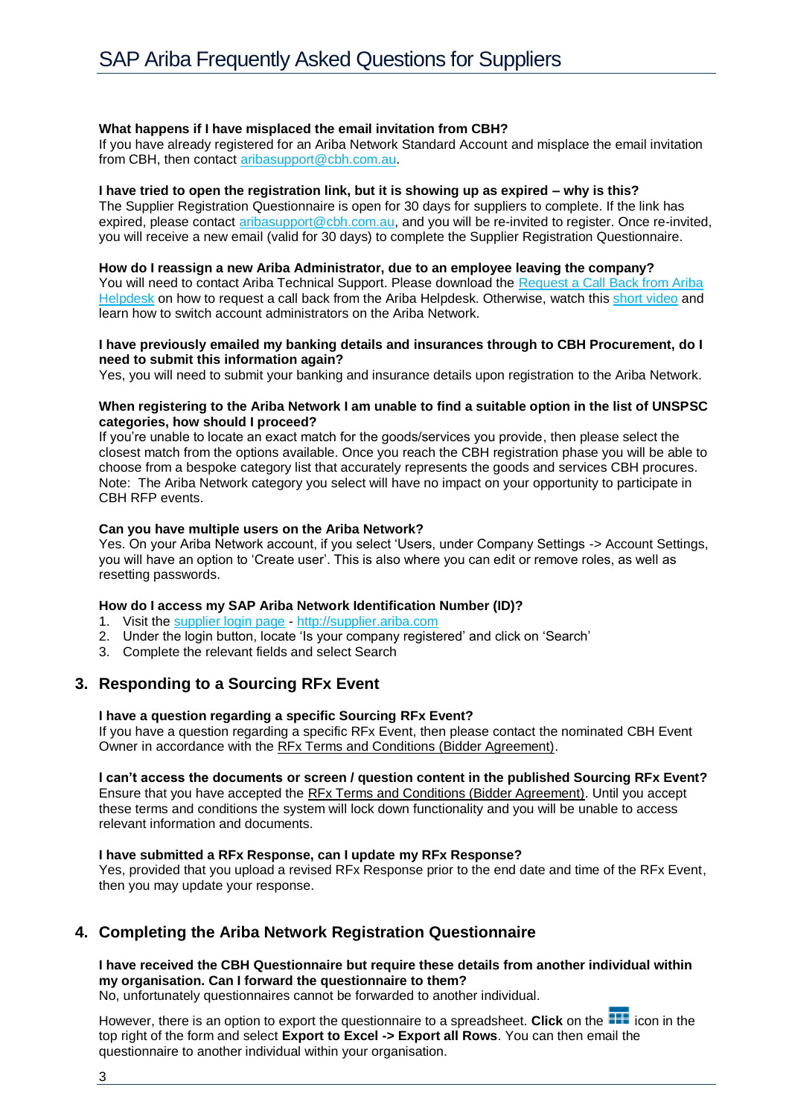# **What happens if I have misplaced the email invitation from CBH?**

If you have already registered for an Ariba Network Standard Account and misplace the email invitation from CBH, then contact [aribasupport@cbh.com.au.](mailto:aribasupport@cbh.com.au)

### **I have tried to open the registration link, but it is showing up as expired – why is this?**

The Supplier Registration Questionnaire is open for 30 days for suppliers to complete. If the link has expired, please contact [aribasupport@cbh.com.au,](mailto:aribasupport@cbh.com.au?subject=Registration%20link%20has%20expired) and you will be re-invited to register. Once re-invited, you will receive a new email (valid for 30 days) to complete the Supplier Registration Questionnaire.

### **How do I reassign a new Ariba Administrator, due to an employee leaving the company?**

You will need to contact Ariba Technical Support. Please download the Request a Call Back from Ariba [Helpdesk](https://www.cbh.com.au/suppliers-and-contractors/cbh-etendering) on how to request a call back from the Ariba Helpdesk. Otherwise, watch this [short video](https://twitter.com/sapariba/status/1205103561765470214?s=12) and learn how to switch account administrators on the Ariba Network.

### **I have previously emailed my banking details and insurances through to CBH Procurement, do I need to submit this information again?**

Yes, you will need to submit your banking and insurance details upon registration to the Ariba Network.

### **When registering to the Ariba Network I am unable to find a suitable option in the list of UNSPSC categories, how should I proceed?**

If you're unable to locate an exact match for the goods/services you provide, then please select the closest match from the options available. Once you reach the CBH registration phase you will be able to choose from a bespoke category list that accurately represents the goods and services CBH procures. Note: The Ariba Network category you select will have no impact on your opportunity to participate in CBH RFP events.

# **Can you have multiple users on the Ariba Network?**

Yes. On your Ariba Network account, if you select 'Users, under Company Settings -> Account Settings, you will have an option to 'Create user'. This is also where you can edit or remove roles, as well as resetting passwords.

# **How do I access my SAP Ariba Network Identification Number (ID)?**

- 1. Visit the [supplier login page](http://supplier.ariba.com/) [http://supplier.ariba.com](http://supplier.ariba.com/)
- 2. Under the login button, locate 'Is your company registered' and click on 'Search'
- 3. Complete the relevant fields and select Search

# <span id="page-2-0"></span>**3. Responding to a Sourcing RFx Event**

# **I have a question regarding a specific Sourcing RFx Event?**

If you have a question regarding a specific RFx Event, then please contact the nominated CBH Event Owner in accordance with the [RFx Terms and Conditions \(Bidder Agreement\).](https://www.cbh.com.au/~/media/files/cbh%20website/documents/suppliers%20and%20contractors/cbh%20group%20sap%20ariba%20faq%20for%20suppliers%20(3).ashx)

# **I can't access the documents or screen / question content in the published Sourcing RFx Event?**

Ensure that you have accepted the [RFx Terms and Conditions \(Bidder Agreement\).](https://www.cbh.com.au/~/media/files/cbh%20website/documents/suppliers%20and%20contractors/cbh%20group%20sap%20ariba%20faq%20for%20suppliers%20(3).ashx) Until you accept these terms and conditions the system will lock down functionality and you will be unable to access relevant information and documents.

### **I have submitted a RFx Response, can I update my RFx Response?**

Yes, provided that you upload a revised RFx Response prior to the end date and time of the RFx Event, then you may update your response.

# <span id="page-2-1"></span>**4. Completing the Ariba Network Registration Questionnaire**

# **I have received the CBH Questionnaire but require these details from another individual within my organisation. Can I forward the questionnaire to them?**

No, unfortunately questionnaires cannot be forwarded to another individual.

However, there is an option to export the questionnaire to a spreadsheet. Click on the **interpretent in** icon in the top right of the form and select **Export to Excel -> Export all Rows**. You can then email the questionnaire to another individual within your organisation.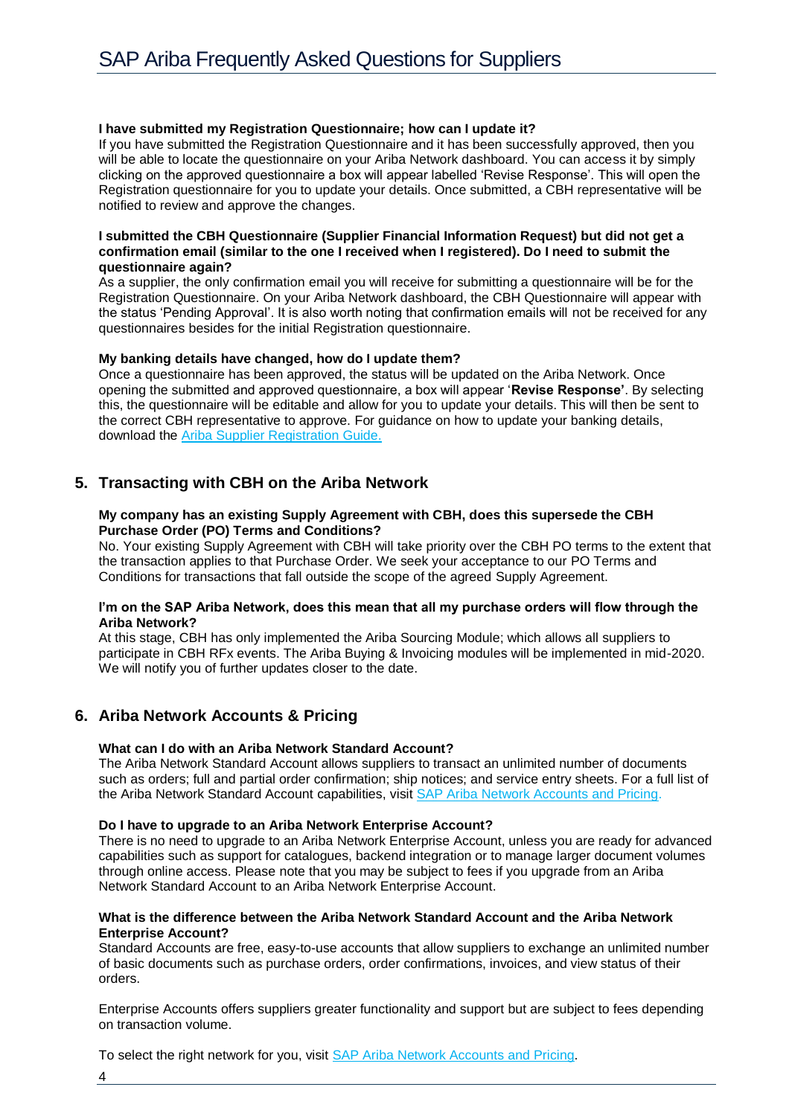### **I have submitted my Registration Questionnaire; how can I update it?**

If you have submitted the Registration Questionnaire and it has been successfully approved, then you will be able to locate the questionnaire on your Ariba Network dashboard. You can access it by simply clicking on the approved questionnaire a box will appear labelled 'Revise Response'. This will open the Registration questionnaire for you to update your details. Once submitted, a CBH representative will be notified to review and approve the changes.

### **I submitted the CBH Questionnaire (Supplier Financial Information Request) but did not get a confirmation email (similar to the one I received when I registered). Do I need to submit the questionnaire again?**

As a supplier, the only confirmation email you will receive for submitting a questionnaire will be for the Registration Questionnaire. On your Ariba Network dashboard, the CBH Questionnaire will appear with the status 'Pending Approval'. It is also worth noting that confirmation emails will not be received for any questionnaires besides for the initial Registration questionnaire.

### **My banking details have changed, how do I update them?**

Once a questionnaire has been approved, the status will be updated on the Ariba Network. Once opening the submitted and approved questionnaire, a box will appear '**Revise Response'**. By selecting this, the questionnaire will be editable and allow for you to update your details. This will then be sent to the correct CBH representative to approve. For guidance on how to update your banking details, download the [Ariba Supplier Registration Guide.](https://www.cbh.com.au/suppliers-and-contractors/supplying-to-cbh)

# <span id="page-3-0"></span>**5. Transacting with CBH on the Ariba Network**

### **My company has an existing Supply Agreement with CBH, does this supersede the CBH Purchase Order (PO) Terms and Conditions?**

No. Your existing Supply Agreement with CBH will take priority over the CBH PO terms to the extent that the transaction applies to that Purchase Order. We seek your acceptance to our PO Terms and Conditions for transactions that fall outside the scope of the agreed Supply Agreement.

# **I'm on the SAP Ariba Network, does this mean that all my purchase orders will flow through the Ariba Network?**

At this stage, CBH has only implemented the Ariba Sourcing Module; which allows all suppliers to participate in CBH RFx events. The Ariba Buying & Invoicing modules will be implemented in mid-2020. We will notify you of further updates closer to the date.

# <span id="page-3-1"></span>**6. Ariba Network Accounts & Pricing**

### **What can I do with an Ariba Network Standard Account?**

The Ariba Network Standard Account allows suppliers to transact an unlimited number of documents such as orders; full and partial order confirmation; ship notices; and service entry sheets. For a full list of the Ariba Network Standard Account capabilities, visit [SAP Ariba Network Accounts and Pricing.](https://www.ariba.com/ariba-network/ariba-network-for-suppliers/accounts-and-pricing)

### **Do I have to upgrade to an Ariba Network Enterprise Account?**

There is no need to upgrade to an Ariba Network Enterprise Account, unless you are ready for advanced capabilities such as support for catalogues, backend integration or to manage larger document volumes through online access. Please note that you may be subject to fees if you upgrade from an Ariba Network Standard Account to an Ariba Network Enterprise Account.

### **What is the difference between the Ariba Network Standard Account and the Ariba Network Enterprise Account?**

Standard Accounts are free, easy-to-use accounts that allow suppliers to exchange an unlimited number of basic documents such as purchase orders, order confirmations, invoices, and view status of their orders.

Enterprise Accounts offers suppliers greater functionality and support but are subject to fees depending on transaction volume.

To select the right network for you, visit [SAP Ariba Network Accounts and Pricing.](https://www.ariba.com/ariba-network/ariba-network-for-suppliers/accounts-and-pricing)

4